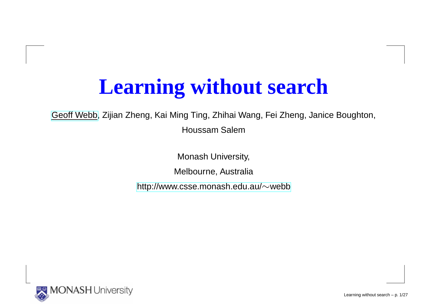## **Learning without search**

[Geoff](http://www.csse.monash.edu.au/~webb) Webb, Zijian Zheng, Kai Ming Ting, Zhihai Wang, Fei Zheng, Janice Boughton,

Houssam Salem

Monash University,

Melbourne, Australia

[http://www](http://www.csse.monash.edu.au/~webb).[csse](http://www.csse.monash.edu.au/~webb).[monash](http://www.csse.monash.edu.au/~webb).[edu](http://www.csse.monash.edu.au/~webb).[au/](http://www.csse.monash.edu.au/~webb) $\sim$ webb

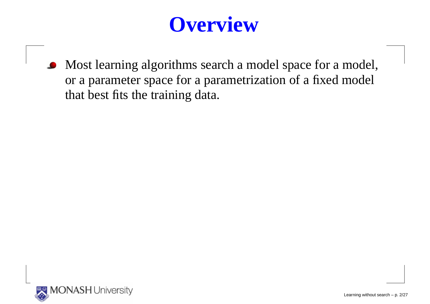## **Overview**

Most learning algorithms search <sup>a</sup> model space for <sup>a</sup> model, or <sup>a</sup> parameter space for <sup>a</sup> parametrization of <sup>a</sup> fixed modelthat best fits the training data.

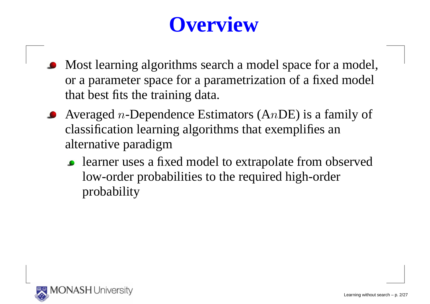## **Overview**

- Most learning algorithms search a model space for a model, or <sup>a</sup> parameter space for <sup>a</sup> parametrization of <sup>a</sup> fixed modelthat best fits the training data.
- Averaged *n*-Dependence Estimators (AnDE) is a family of classification learning algorithms that exemplifies analternative paradigm
	- learner uses <sup>a</sup> fixed model to extrapolate from observedlow-order probabilities to the required high-orderprobability

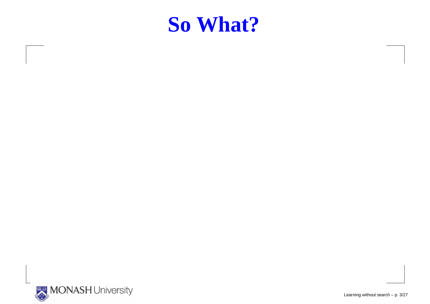

Learning without search – p. 3/27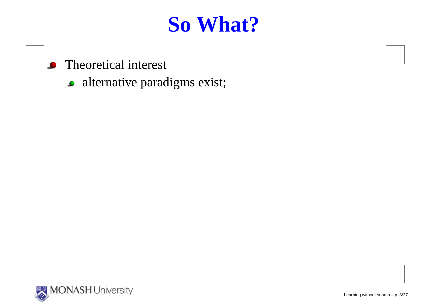- Theoretical interest $\bullet$ 
	- **•** alternative paradigms exist;

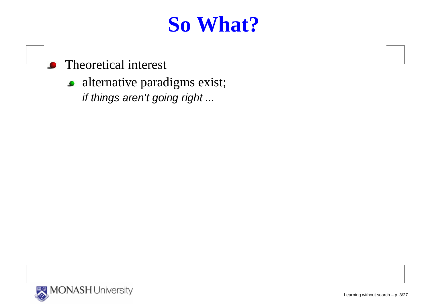- Theoretical interest
	- **•** alternative paradigms exist; if things aren't going right ...

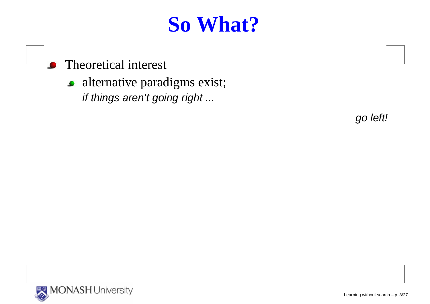- Theoretical interest
	- **•** alternative paradigms exist; if things aren't going right ...

go left!

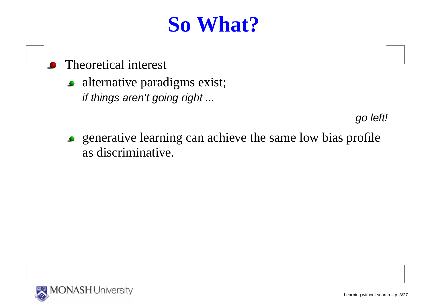- Theoretical interest
	- alternative paradigms exist; if things aren't going right ...

go left!

generative learning can achieve the same low bias profileas discriminative.

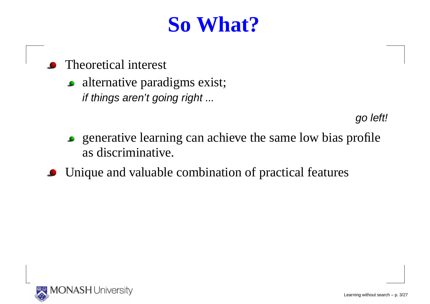- Theoretical interest
	- alternative paradigms exist; if things aren't going right ...

go left!

- generative learning can achieve the same low bias profileas discriminative.
- Unique and valuable combination of practical features

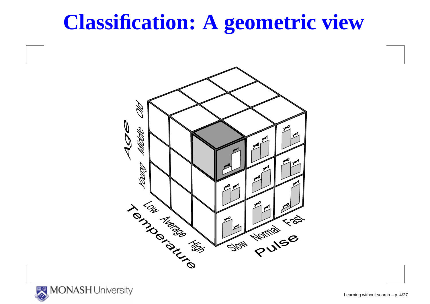## **Classification: A geometric view**



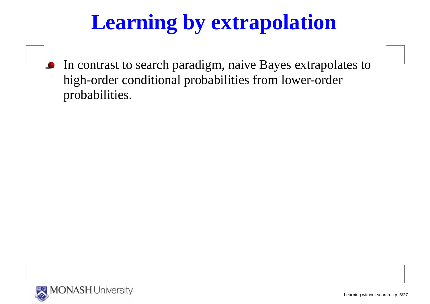## **Learning by extrapolation**

In contrast to search paradigm, naive Bayes extrapolates to $\bullet$ high-order conditional probabilities from lower-orderprobabilities.

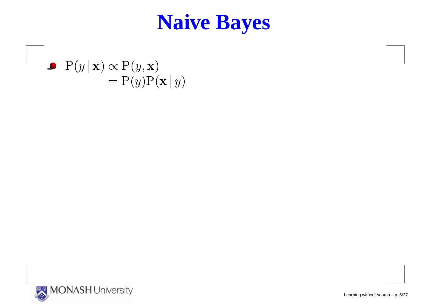#### **Naive Bayes**

 $\mathrm{P}(y \,|\, \mathbf{x}) \propto \mathrm{P}(y,\mathbf{x})$  $\overline{\phantom{0}}$ = $= P(y)P(x | y)$ 



Learning without search – p. 6/27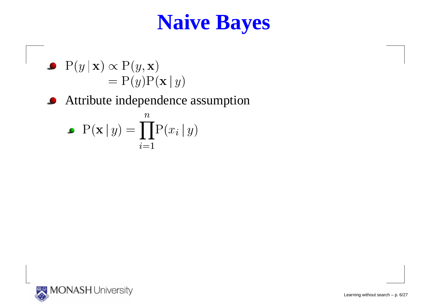## **Naive Bayes**

$$
\begin{aligned} \bullet \quad & P(y \mid \mathbf{x}) \propto P(y, \mathbf{x}) \\ &= P(y)P(\mathbf{x} \mid y) \end{aligned}
$$

**Attribute independence assumption** 

$$
\bullet \ \ \mathbf{P}(\mathbf{x} \mid y) = \prod_{i=1}^{n} \mathbf{P}(x_i \mid y)
$$

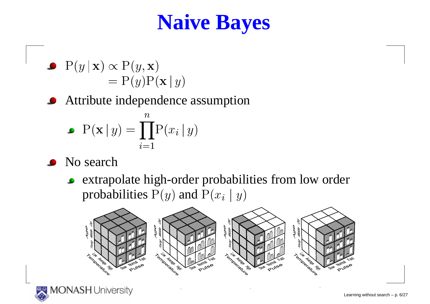## **Naive Bayes**

$$
\begin{aligned} \bullet \quad & P(y \mid \mathbf{x}) \propto P(y, \mathbf{x}) \\ &= P(y)P(\mathbf{x} \mid y) \end{aligned}
$$

Attribute independence assumption

$$
\bullet \ \ \mathbf{P}(\mathbf{x} \mid y) = \prod_{i=1}^{n} \mathbf{P}(x_i \mid y)
$$

- No search
	- extrapolate high-order probabilities from low orderprobabilities  $\mathrm{P}(y)$  and  $\mathrm{P}(x_i\mid y)$



 $1$ 

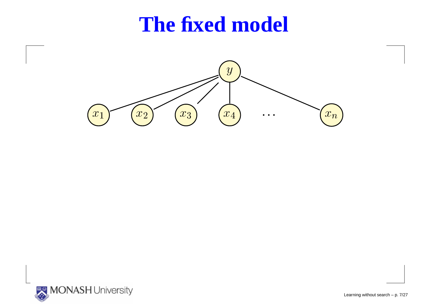#### **The fixed model**



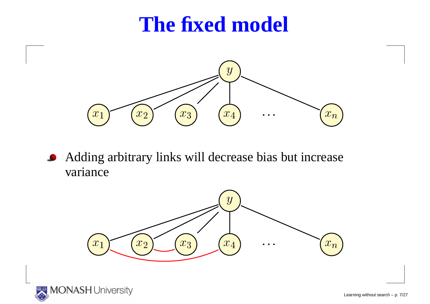## **The fixed model**



Adding arbitrary links will decrease bias but increase $\bullet$ variance



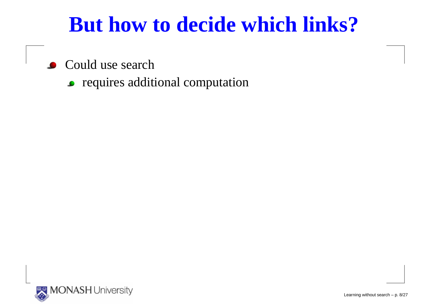## **But how to decide which links?**

- Could use search
	- requires additional computation

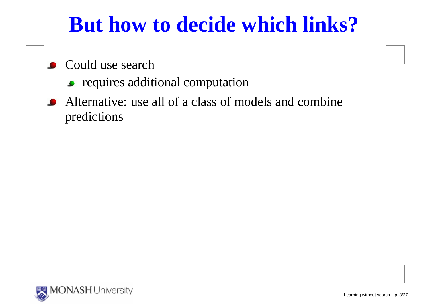## **But how to decide which links?**

- Could use search
	- requires additional computation
- Alternative: use all of <sup>a</sup> class of models and combinepredictions

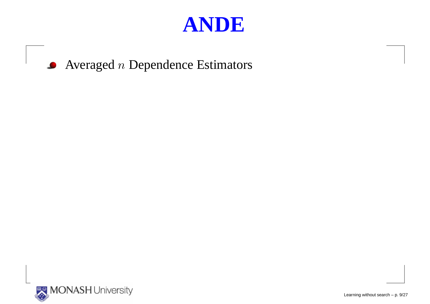





Learning without search – p. 9/27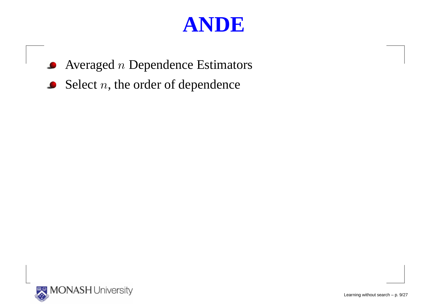- Averaged  $n$  Dependence Estimators  $\bullet$
- Select  $n,$  the order of dependence

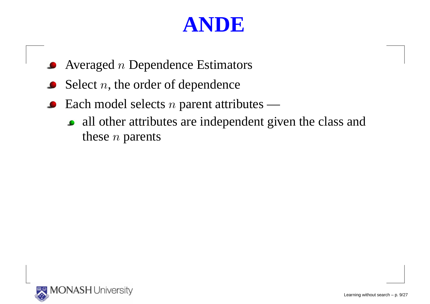- Averaged  $n$  Dependence Estimators
- Select  $n,$  the order of dependence
- Each model selects  $n$  parent attributes
	- all other attributes are independent given the class andthese  $n$  parents

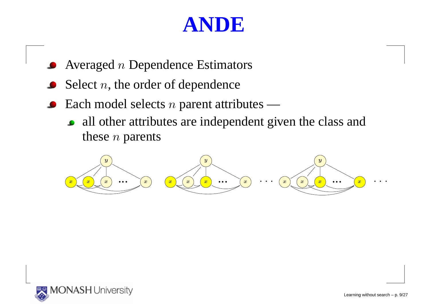- Averaged  $n$  Dependence Estimators
- Select  $n,$  the order of dependence
- Each model selects  $n$  parent attributes
	- all other attributes are independent given the class andthese  $n$  parents



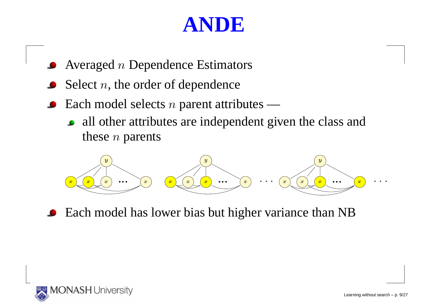- Averaged  $n$  Dependence Estimators
- Select  $n,$  the order of dependence
- Each model selects  $n$  parent attributes
	- all other attributes are independent given the class andthese  $n$  parents

yx <sup>x</sup> <sup>x</sup> ... <sup>x</sup> yx <sup>x</sup> <sup>x</sup> ... <sup>x</sup> : : : yx<sup>x</sup> <sup>x</sup> ... <sup>x</sup> : : :

• Each model has lower bias but higher variance than NB

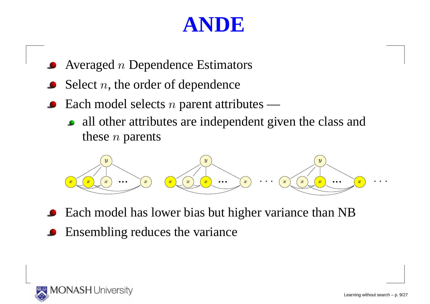- Averaged  $n$  Dependence Estimators
- Select  $n,$  the order of dependence
- Each model selects  $n$  parent attributes
	- all other attributes are independent given the class andthese  $n$  parents

yx <sup>x</sup> <sup>x</sup> ... <sup>x</sup> yx <sup>x</sup> <sup>x</sup> ... <sup>x</sup> : : : yx<sup>x</sup> <sup>x</sup> ... <sup>x</sup> : : :

- Each model has lower bias but higher variance than NB
- Ensembling reduces the variance

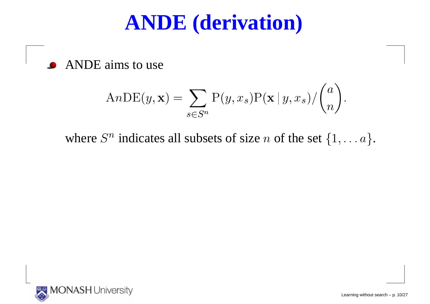## **ANDE (derivation)**

ANDE aims to use

$$
AnDE(y, \mathbf{x}) = \sum_{s \in S^n} P(y, x_s) P(\mathbf{x} | y, x_s) / {n \choose n}.
$$

where  $S^n$  indicates all subsets of size n of the set  $\{1, \ldots a\}$ .

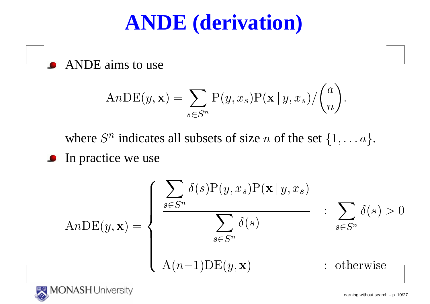## **ANDE (derivation)**

ANDE aims to use

$$
AnDE(y, \mathbf{x}) = \sum_{s \in S^n} P(y, x_s) P(\mathbf{x} | y, x_s) / {n \choose n}.
$$

where  $S^n$  indicates all subsets of size n of the set  $\{1, \ldots a\}$ .

**In practice we use** 

$$
AnDE(y, \mathbf{x}) = \begin{cases} \frac{\sum_{s \in S^n} \delta(s)P(y, x_s)P(\mathbf{x} | y, x_s)}{\sum_{s \in S^n} \delta(s)} & \text{: } \sum_{s \in S^n} \delta(s) > 0\\ A(n-1)DE(y, \mathbf{x}) & \text{: otherwise} \end{cases}
$$



Learning without search – p. 10/27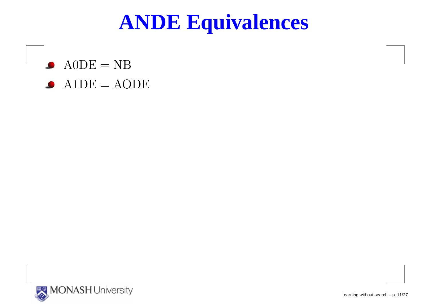## **ANDE Equivalences**

 $\bullet$  $A0DE = NB$  $\mathrm{A1DE}=$  $=$  AODE



Learning without search – p. 11/27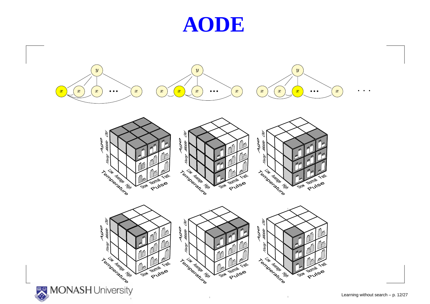#### **AODE**

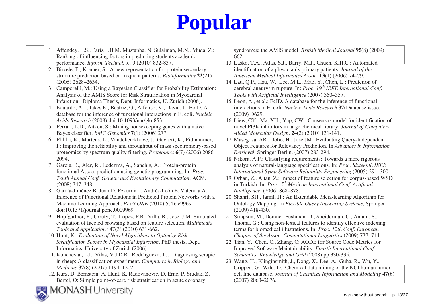# **Popular**

- 1. Affendey, L.S., Paris, I.H.M. Mustapha, N. Sulaiman, M.N., Muda, Z.: Ranking of influencing factors in predicting students academic performance. *Inform. Technol. J.,* 9 (2010) 832-837.
- 2. Birzele, F., Kramer, S.: A new representation for protein secondary structure prediction based on frequent patterns. *Bioinformatics* **<sup>22</sup>**(21) (2006) 2628–2634.
- 3. Camporelli, M.: Using a Bayesian Classifier for Probability Estimation: Analysis of the AMIS Score for Risk Stratification in Myocardial Infarction. Diploma Thesis, Dept. Informatics, U. Zurich (2006).
- 4. Eduardo, AL., Iakes E., Beatriz, G., Alfonso, V., David, J.: EcID. A database for the inference of functional interactions in E. coli. *Nucleic Acids Research* (2008) doi:10.1093/nar/gkn853
- 5. Ferrari, L.D., Aitken, S.: Mining housekeeping genes with a naive Bayes classifier. *BMC Genomics* **<sup>7</sup>**(1) (2006) 277.
- 6. Flikka, K., Martens, L., Vandekerckhove, J., Gevaert, K., Eidhammer, I.: Improving the reliability and throughput of mass spectrometry-based proteomics by spectrum quality filtering. *Proteomics* **<sup>6</sup>**(7) (2006) 2086–2094.
- 7. Garcia, B., Aler, R., Ledezma, A., Sanchis, A.: Protein-protein functional Assoc. prediction using genetic programming. In: *Proc. Tenth Annual Conf. Genetic and Evolutionary Computation*, ACM. (2008) 347–348.
- 8. García-Jiménez B, Juan D, Ezkurdia I, Andrés-León E, Valencia A.: Inference of Functional Relations in Predicted Protein Networks with a Machine Learning Approach. *PLoS ONE* (2010) 5(4): e9969. doi:10.1371/journal.pone.0009969
- 9. Hopfgartner, F., Urruty, T., Lopez, P.B., Villa, R., Jose, J.M: Simulated evaluation of faceted browsing based on feature selection. *Multimedia Tools and Applications* 47(3) (2010) 631-662.
- 10. Hunt, K.: *Evaluation of Novel Algorithms to Optimize Risk Stratification Scores in Myocardial Infarction*. PhD thesis, Dept. Informatics, University of Zurich (2006).
- 11. Kunchevaa, L.I., Vilas, V.J.D.R., Rodr´ıguezc, J.J.: Diagnosing scrapie in sheep: A classification experiment. *Computers in Biology and Medicine* **<sup>37</sup>**(8) (2007) 1194–1202.
- 12. Kurz, D, Bernstein, A, Hunt, K, Radovanovic, D, Erne, P, Siudak, Z, Bertel, O: Simple point-of-care risk stratification in acute coronary

**MONASH University** 



- 13. Lasko, T.A., Atlas, S.J., Barry, M.J., Chueh, K.H.C.: Automated identification of a physician's primary patients. *Journal of the American Medical Informatics Assoc.* **13**(1) (2006) 74–79.
- 14. Lau, Q.P., Hsu, W., Lee, M.L., Mao, Y., Chen, L.: Prediction of cerebral aneurysm rupture. In: *Proc. 19th IEEE International Conf. Tools with Artificial Intelligence* (2007) 350–357.
- 15. Leon, A., et al.: EcID. A database for the inference of functional interactions in E. coli. *Nucleic Acids Research* **<sup>37</sup>**(Database issue) (2009) D629.
- 16. Liew, CY., Ma, XH., Yap, CW.: Consensus model for identification of novel PI3K inhibitors in large chemical library. *Journal of Computer-Aided Molecular Design*. **24**(2) (2010) 131-141.
- 17. Masegosa, AR., Joho, H., Jose JM.: Evaluating Query-Independent Object Features for Relevancy Prediction. In *Advances in Information Retrieval*. Springer Berlin. (2007) 283-294.
- 18. Nikora, A.P.: Classifying requirements: Towards a more rigorous analysis of natural-language specifications. In: *Proc. Sixteenth IEEE International Symp.Software Reliability Engineering* (2005) 291–300.
- 19. Orhan, Z., Altan, Z.: Impact of feature selection for corpus-based WSD in Turkish. In: *Proc. 5th Mexican International Conf. Artificial Intelligence* (2006) 868–878.
- 20. Shahri, SH., Jamil, H.: An Extendable Meta-learning Algorithm for Ontology Mapping. In *Flexible Query Answering Systems*, Springer (2009) 418-430.
- 21. Simpson, M., Demner-Fushman, D., Sneiderman, C., Antani, S., Thoma, G.: Using non-lexical features to identify effective indexing terms for biomedical illustrations. In: *Proc. 12th Conf. European Chapter of the Assoc. Computational Linguistics* (2009) 737–744.
- 22. Tian, Y., Chen, C., Zhang, C: AODE for Source Code Metrics for Improved Software Maintainability. *Fourth International Conf. Semantics, Knowledge and Grid* (2008) pp.330-335.
- 23. Wang, H., Klinginsmith, J., Dong, X., Lee, A., Guha, R., Wu, Y., Crippen, G., Wild, D.: Chemical data mining of the NCI human tumor cell line database. *Journal of Chemical Information and Modeling* **<sup>47</sup>**(6) (2007) 2063–2076.

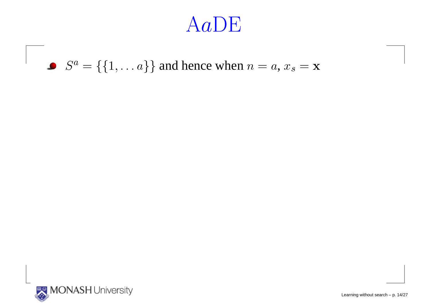#### $S^a =$  $f = \{\{1, \dots a\}\}\$  and hence when  $n = a, x_s = \mathbf{x}$

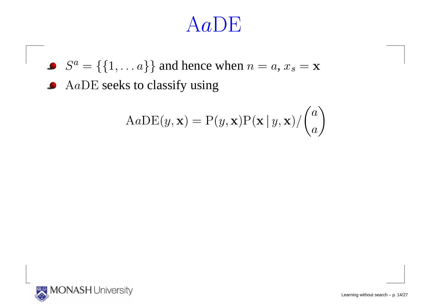$S^a =$  $f = \{\{1, \dots a\}\}\$  and hence when  $n = a, x_s = \mathbf{x}$ 

$$
AaDE(y, \mathbf{x}) = P(y, \mathbf{x})P(\mathbf{x} | y, \mathbf{x}) / {a \choose a}
$$

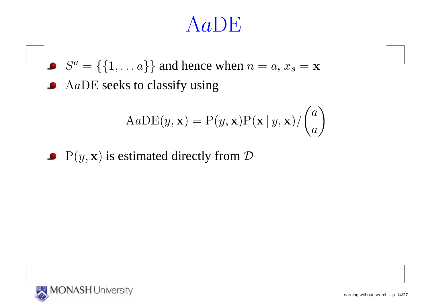$S^a =$  $f = \{\{1, \dots a\}\}\$  and hence when  $n = a, x_s = \mathbf{x}$ 

 $AaDE$  seeks to classify using

$$
AaDE(y, \mathbf{x}) = P(y, \mathbf{x})P(\mathbf{x} | y, \mathbf{x}) / {a \choose a}
$$

 $P(y, x)$  is estimated directly from  $D$ 

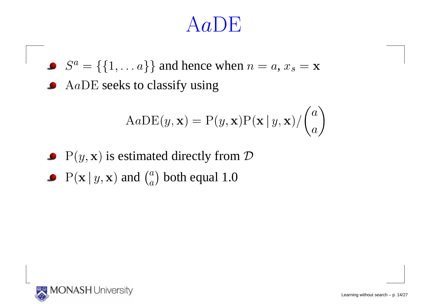## $(Aa)$ F

 $S^a =$  $f = \{\{1, \dots a\}\}\$  and hence when  $n = a, x_s = \mathbf{x}$ 

$$
AaDE(y, \mathbf{x}) = P(y, \mathbf{x})P(\mathbf{x} | y, \mathbf{x}) / {a \choose a}
$$

- $P(y, x)$  is estimated directly from  $D$
- $\mathrm{P}(\mathbf{x} \,|\, y, \mathbf{x})$  and  $\binom{a}{a}$  both equal 1.0

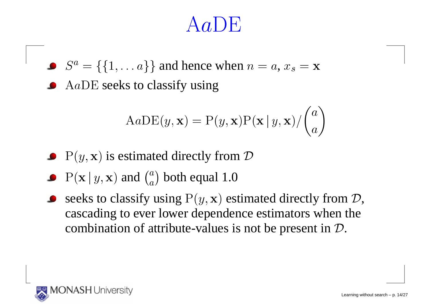$S^a =$  $f = \{\{1, \dots a\}\}\$  and hence when  $n = a, x_s = \mathbf{x}$ 

$$
AaDE(y, \mathbf{x}) = P(y, \mathbf{x})P(\mathbf{x} | y, \mathbf{x}) / {a \choose a}
$$

- $P(y, x)$  is estimated directly from  $D$
- $\mathrm{P}(\mathbf{x} \,|\, y, \mathbf{x})$  and  $\binom{a}{a}$  both equal 1.0
- seeks to classify using  $P(y, x)$  estimated directly from  $D$ , cascading to ever lower dependence estimators when thecombination of attribute-values is not be present in  ${\cal D}.$

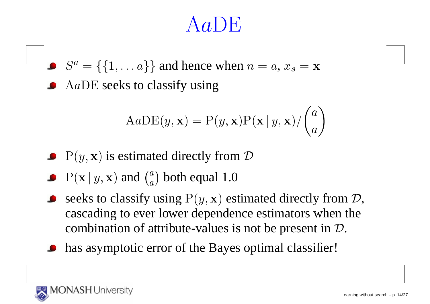$S^a =$  $f = \{\{1, \dots a\}\}\$  and hence when  $n = a, x_s = \mathbf{x}$ 

$$
AaDE(y, \mathbf{x}) = P(y, \mathbf{x})P(\mathbf{x} | y, \mathbf{x}) / {a \choose a}
$$

- $P(y, x)$  is estimated directly from  $D$
- $\mathrm{P}(\mathbf{x} \,|\, y, \mathbf{x})$  and  $\binom{a}{a}$  both equal 1.0
- seeks to classify using  $P(y, x)$  estimated directly from  $D$ , cascading to ever lower dependence estimators when thecombination of attribute-values is not be present in  ${\cal D}.$
- has asymptotic error of the Bayes optimal classifier!

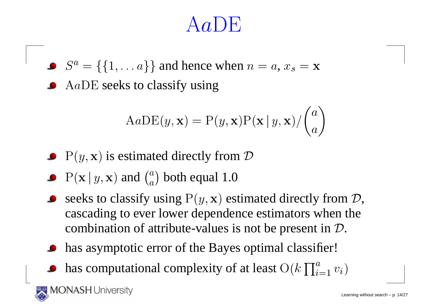$S^a =$  $f = \{\{1, \dots a\}\}\$  and hence when  $n = a, x_s = \mathbf{x}$ 

$$
AaDE(y, \mathbf{x}) = P(y, \mathbf{x})P(\mathbf{x} | y, \mathbf{x}) / {a \choose a}
$$

- $P(y, x)$  is estimated directly from  $D$
- $\mathrm{P}(\mathbf{x} \,|\, y, \mathbf{x})$  and  $\binom{a}{a}$  both equal 1.0
- seeks to classify using  $P(y, x)$  estimated directly from  $D$ , cascading to ever lower dependence estimators when thecombination of attribute-values is not be present in  ${\cal D}.$
- has asymptotic error of the Bayes optimal classifier!
- has computational complexity of at least  $\mathrm{O}(k\prod_{i=1}^a v_i)$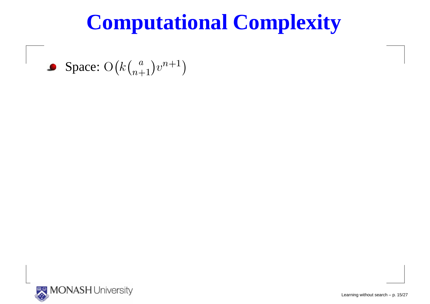Space: O $\bigl(k\bigl(_{n+}^a$  $\binom{a}{n+1}$  $v^{n+1}$  $\left( \begin{array}{c} 1 \end{array} \right)$ 

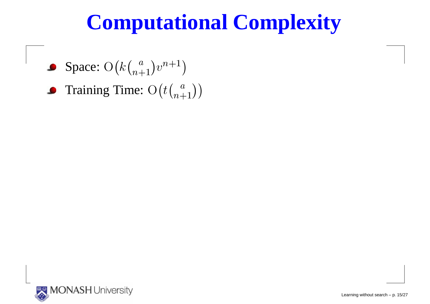- Space: O $\bigl(k\bigl(_{n+}^a$  $\binom{a}{n+1}$  $v^{n+1}$  $\left( \begin{array}{c} 1 \end{array} \right)$
- Training Time:  $\mathrm{O}\big(t{a\choose n+1}$  $\binom{a}{n+1}$  $\bullet$

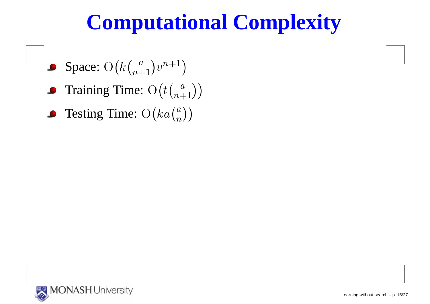- Space: O $\bigl(k\bigl(_{n+}^a$  $\binom{a}{n+1}$  $v^{n+1}$  $\left( \begin{array}{c} 1 \end{array} \right)$
- Training Time:  $\mathrm{O}\big(t\big)$  $t\binom{a}{n+1}$  $\binom{a}{n+1}$
- Testing Time:  $\mathrm{O}\big(k a\binom{a}{n}$  $\binom{a}{n}$

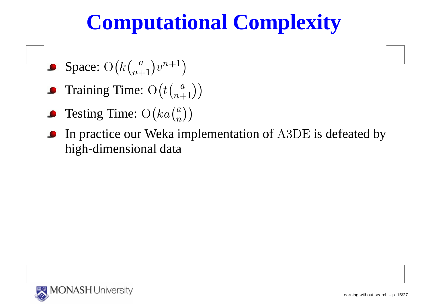- Space: O $\bigl(k\bigl(_{n+}^a$  $\binom{a}{n+1}$  $v^{n+1}$  $\left( \begin{array}{c} 1 \end{array} \right)$
- Training Time:  $\mathrm{O}\big(t{a\choose n+1}$  $\binom{a}{n+1}$
- Testing Time:  $\mathrm{O}\big(k a\binom{a}{n}$  $\binom{a}{n}$
- In practice our Weka implementation of A3DE is defeated by high-dimensional data

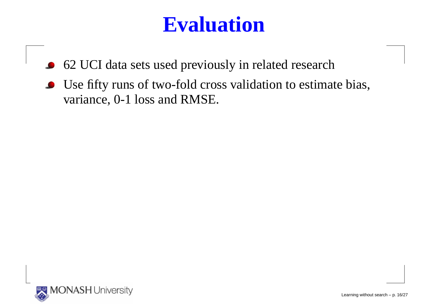## **Evaluation**

- 62 UCI data sets used previously in related research $\bullet$
- Use fifty runs of two-fold cross validation to estimate bias, variance, 0-1 loss and RMSE.

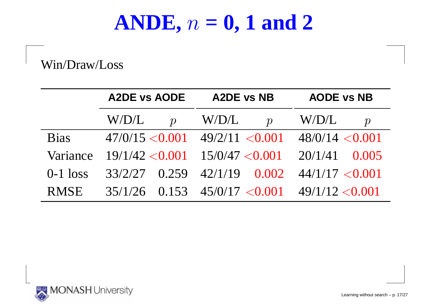#### **ANDE,** <sup>n</sup> $n = 0, 1$  and 2

Win/Draw/Loss

|             | <b>A2DE vs AODE</b>    | <b>A2DE vs NB</b>                                     | <b>AODE vs NB</b>         |  |
|-------------|------------------------|-------------------------------------------------------|---------------------------|--|
|             | W/D/L<br>$\mathcal{D}$ | W/D/L<br>$\boldsymbol{p}$                             | W/D/L<br>$\boldsymbol{p}$ |  |
| <b>Bias</b> |                        | $47/0/15 < 0.001$ $49/2/11 < 0.001$ $48/0/14 < 0.001$ |                           |  |
| Variance    |                        | $19/1/42 < 0.001$ $15/0/47 < 0.001$ $20/1/41$ 0.005   |                           |  |
| $0-1$ loss  |                        | $33/2/27$ 0.259 $42/1/19$ 0.002 $44/1/17 < 0.001$     |                           |  |
| <b>RMSE</b> |                        | $35/1/26$ 0.153 $45/0/17 < 0.001$ $49/1/12 < 0.001$   |                           |  |



Learning without search – p. 17/27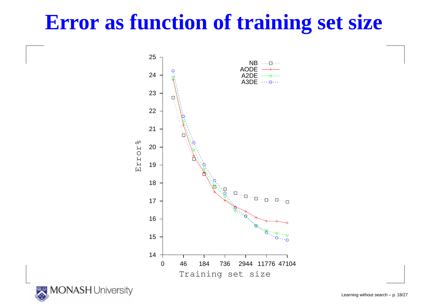## **Error as function of training set size**





Learning without search – p. 18/27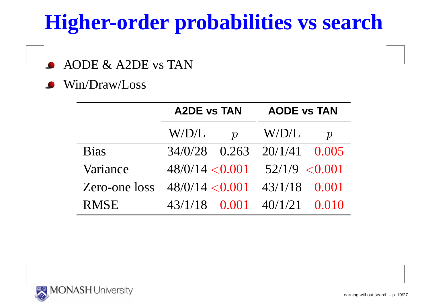## **Higher-order probabilities vs search**

AODE & A2DE vs TAN

Win/Draw/Loss

|               | <b>A2DE vs TAN</b> |                  | <b>AODE vs TAN</b> |                  |  |
|---------------|--------------------|------------------|--------------------|------------------|--|
|               | W/D/L              | $\boldsymbol{p}$ | W/D/L              | $\boldsymbol{p}$ |  |
| <b>Bias</b>   | $34/0/28$ 0.263    |                  | $20/1/41$ 0.005    |                  |  |
| Variance      | 48/0/14 < 0.001    |                  | 52/1/9 < 0.001     |                  |  |
| Zero-one loss | 48/0/14 < 0.001    |                  | 43/1/18 0.001      |                  |  |
| <b>RMSE</b>   | 43/1/18 0.001      |                  | $40/1/21$ 0.010    |                  |  |

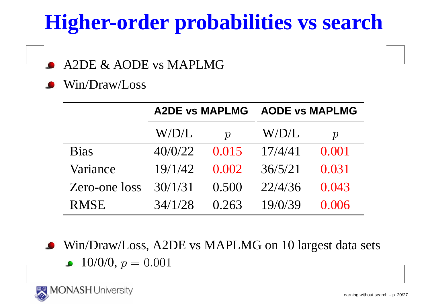## **Higher-order probabilities vs search**

A2DE & AODE vs MAPLMG

Win/Draw/Loss

|               | <b>A2DE vs MAPLMG</b> |                  | <b>AODE vs MAPLMG</b> |                  |  |
|---------------|-----------------------|------------------|-----------------------|------------------|--|
|               | W/D/L                 | $\boldsymbol{p}$ | $\rm W/D/L$           | $\boldsymbol{p}$ |  |
| <b>Bias</b>   | 40/0/22               | 0.015            | 17/4/41               | 0.001            |  |
| Variance      | 19/1/42               | 0.002            | 36/5/21               | 0.031            |  |
| Zero-one loss | 30/1/31               | 0.500            | 22/4/36               | 0.043            |  |
| <b>RMSE</b>   | 34/1/28               | 0.263            | 19/0/39               | 0.006            |  |

• Win/Draw/Loss, A2DE vs MAPLMG on 10 largest data sets  $10\!/0\!/0,$   $p=0.001$ 

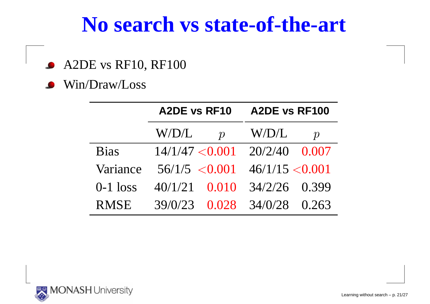#### **No search vs state-of-the-art**

- A2DE vs RF10, RF100  $\bullet$
- Win/Draw/Loss

|             | <b>A2DE vs RF10</b>       | A2DE vs RF100                     |
|-------------|---------------------------|-----------------------------------|
|             | W/D/L<br>$\boldsymbol{p}$ | W/D/L<br>$\boldsymbol{p}$         |
| <b>Bias</b> |                           | $14/1/47 < 0.001$ $20/2/40$ 0.007 |
| Variance    | 56/1/5 < 0.001            | 46/1/15 < 0.001                   |
| $0-1$ loss  | $40/1/21$ 0.010           | $34/2/26$ 0.399                   |
| <b>RMSE</b> | 39/0/23                   | $0.028$ 34/0/28 0.263             |

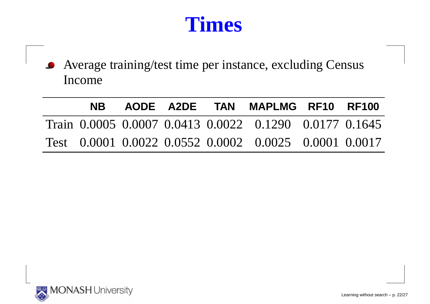#### **Times**

Average training/test time per instance, excluding CensusIncome

|  |  | NB AODE A2DE TAN MAPLMG RF10 RF100                     |  |
|--|--|--------------------------------------------------------|--|
|  |  | Train 0.0005 0.0007 0.0413 0.0022 0.1290 0.0177 0.1645 |  |
|  |  | Test 0.0001 0.0022 0.0552 0.0002 0.0025 0.0001 0.0017  |  |

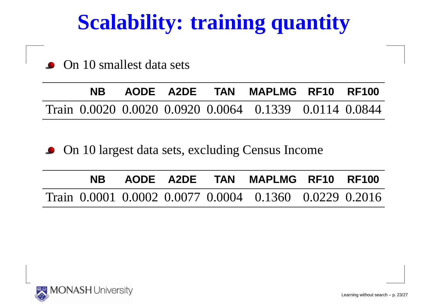## **Scalability: training quantity**

On 10 smallest data sets

**NB AODE A2DE TAN MAPLMG RF10 RF100**Train 0.0020 0.0020 0.0920 0.0064 0.1339 0.0114 0.0844

On 10 largest data sets, excluding Census Income $\bullet$ 

|  |  | NB AODE A2DE TAN MAPLMG RF10 RF100                     |  |
|--|--|--------------------------------------------------------|--|
|  |  | Train 0.0001 0.0002 0.0077 0.0004 0.1360 0.0229 0.2016 |  |



Learning without search – p. 23/27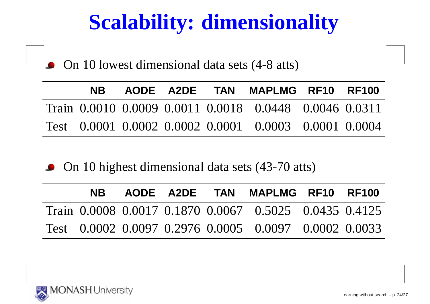## **Scalability: dimensionality**

• On 10 lowest dimensional data sets (4-8 atts)

| NB 1 |  | AODE A2DE TAN MAPLMG RF10 RF100                        |  |
|------|--|--------------------------------------------------------|--|
|      |  | Train 0.0010 0.0009 0.0011 0.0018 0.0448 0.0046 0.0311 |  |
|      |  | Test 0.0001 0.0002 0.0002 0.0001 0.0003 0.0001 0.0004  |  |

• On 10 highest dimensional data sets (43-70 atts)

| NB . |  | AODE A2DE TAN MAPLMG RF10 RF100                        |  |
|------|--|--------------------------------------------------------|--|
|      |  | Train 0.0008 0.0017 0.1870 0.0067 0.5025 0.0435 0.4125 |  |
|      |  | Test 0.0002 0.0097 0.2976 0.0005 0.0097 0.0002 0.0033  |  |

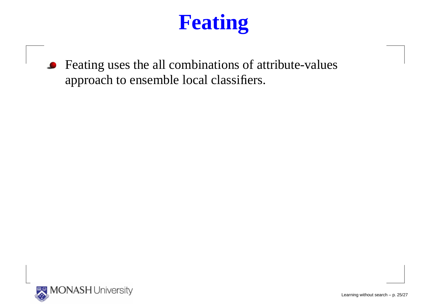Feating uses the all combinations of attribute-valuesapproach to ensemble local classifiers.

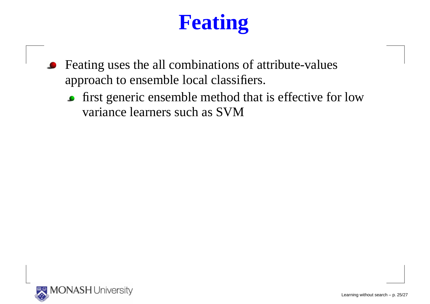- Feating uses the all combinations of attribute-valuesapproach to ensemble local classifiers.
	- **first generic ensemble method that is effective for low** variance learners such as SVM

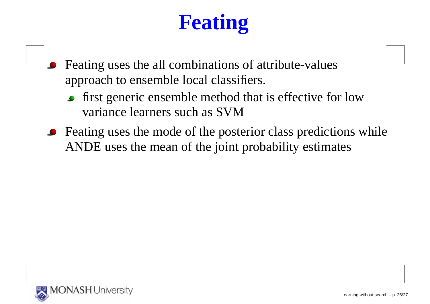- Feating uses the all combinations of attribute-values approach to ensemble local classifiers.
	- first generic ensemble method that is effective for lowvariance learners such as SVM
- Feating uses the mode of the posterior class predictions whileANDE uses the mean of the joint probability estimates

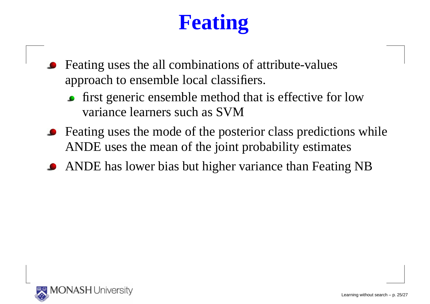- Feating uses the all combinations of attribute-values approach to ensemble local classifiers.
	- **first generic ensemble method that is effective for low** variance learners such as SVM
- Feating uses the mode of the posterior class predictions whileANDE uses the mean of the joint probability estimates
- ANDE has lower bias but higher variance than Feating NB

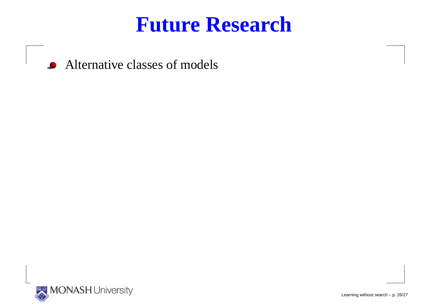**Alternative classes of models** 

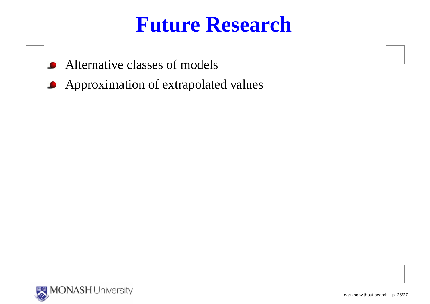- Alternative classes of models
- **Approximation of extrapolated values**



Learning without search – p. 26/27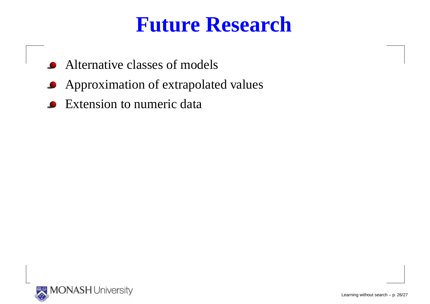- Alternative classes of models
- **Approximation of extrapolated values**
- Extension to numeric data $\bullet$

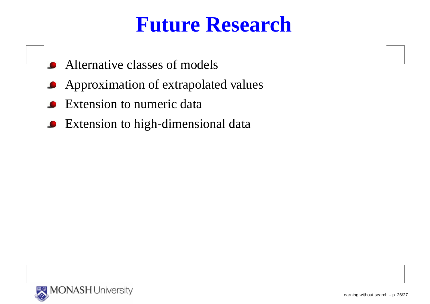- Alternative classes of models
- **•** Approximation of extrapolated values
- Extension to numeric data
- **•** Extension to high-dimensional data

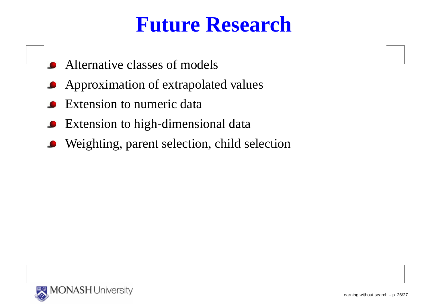- Alternative classes of models
- **Approximation of extrapolated values**
- Extension to numeric data
- Extension to high-dimensional data
- Weighting, paren<sup>t</sup> selection, child selection

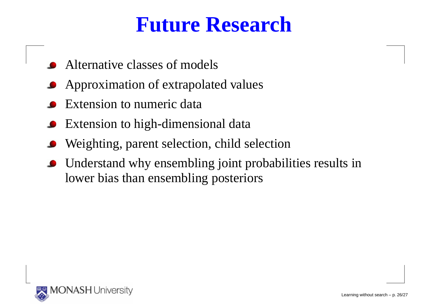- Alternative classes of models
- Approximation of extrapolated values
- Extension to numeric data
- Extension to high-dimensional data
- Weighting, paren<sup>t</sup> selection, child selection
- Understand why ensembling joint probabilities results inlower bias than ensembling posteriors

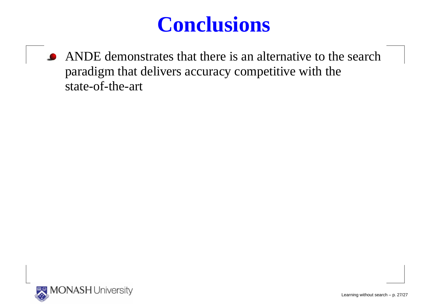ANDE demonstrates that there is an alternative to the searchparadigm that delivers accuracy competitive with thestate-of-the-art

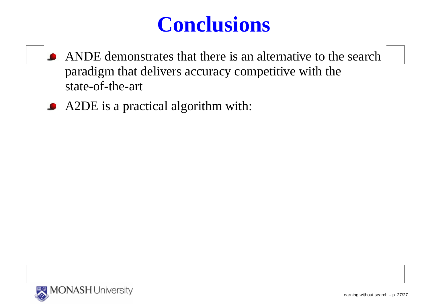- ANDE demonstrates that there is an alternative to the searchparadigm that delivers accuracy competitive with thestate-of-the-art
- A2DE is <sup>a</sup> practical algorithm with:

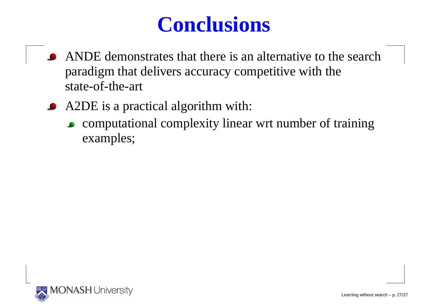- ANDE demonstrates that there is an alternative to the searchparadigm that delivers accuracy competitive with thestate-of-the-art
- A2DE is <sup>a</sup> practical algorithm with:
	- computational complexity linear wrt number of trainingexamples;

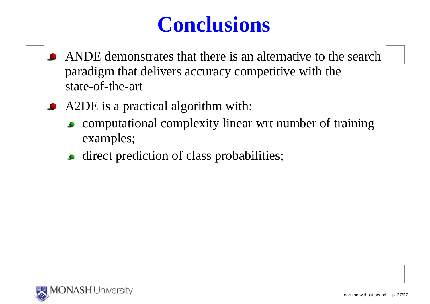- ANDE demonstrates that there is an alternative to the searchparadigm that delivers accuracy competitive with thestate-of-the-art
- A2DE is <sup>a</sup> practical algorithm with:
	- computational complexity linear wrt number of trainingexamples;
	- direct prediction of class probabilities;

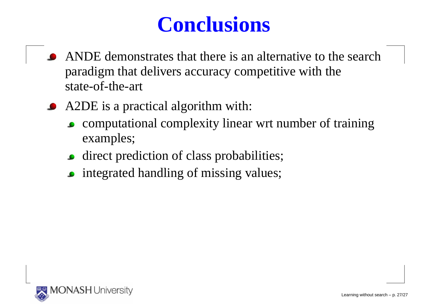- ANDE demonstrates that there is an alternative to the searchparadigm that delivers accuracy competitive with thestate-of-the-art
- A2DE is <sup>a</sup> practical algorithm with:
	- computational complexity linear wrt number of trainingexamples;
	- **direct prediction of class probabilities;**
	- **•** integrated handling of missing values;

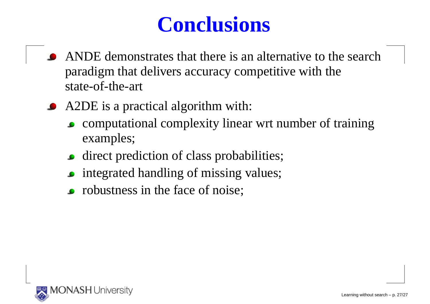- ANDE demonstrates that there is an alternative to the searchparadigm that delivers accuracy competitive with thestate-of-the-art
- A2DE is <sup>a</sup> practical algorithm with:
	- computational complexity linear wrt number of trainingexamples;
	- direct prediction of class probabilities;
	- integrated handling of missing values;
	- robustness in the face of noise;

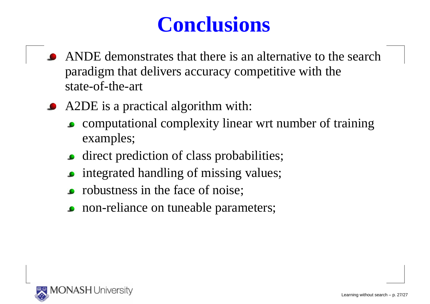- ANDE demonstrates that there is an alternative to the searchparadigm that delivers accuracy competitive with thestate-of-the-art
- A2DE is <sup>a</sup> practical algorithm with:
	- computational complexity linear wrt number of trainingexamples;
	- **direct prediction of class probabilities;**
	- integrated handling of missing values;
	- robustness in the face of noise;
	- non-reliance on tuneable parameters;

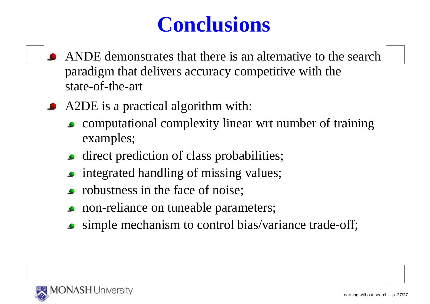- ANDE demonstrates that there is an alternative to the searchparadigm that delivers accuracy competitive with thestate-of-the-art
- A2DE is a practical algorithm with:
	- computational complexity linear wrt number of trainingexamples;
	- **direct prediction of class probabilities;**
	- integrated handling of missing values;
	- robustness in the face of noise;
	- non-reliance on tuneable parameters;
	- simple mechanism to control bias/variance trade-off;

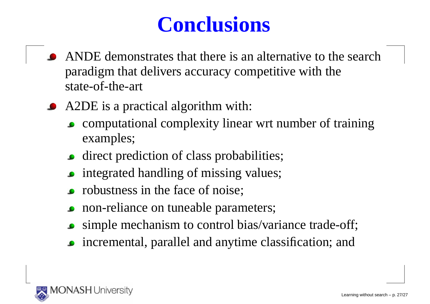- ANDE demonstrates that there is an alternative to the searchparadigm that delivers accuracy competitive with thestate-of-the-art
- A2DE is <sup>a</sup> practical algorithm with:
	- computational complexity linear wrt number of trainingexamples;
	- direct prediction of class probabilities;
	- integrated handling of missing values;
	- robustness in the face of noise;
	- non-reliance on tuneable parameters;
	- simple mechanism to control bias/variance trade-off;
	- incremental, parallel and anytime classification; and